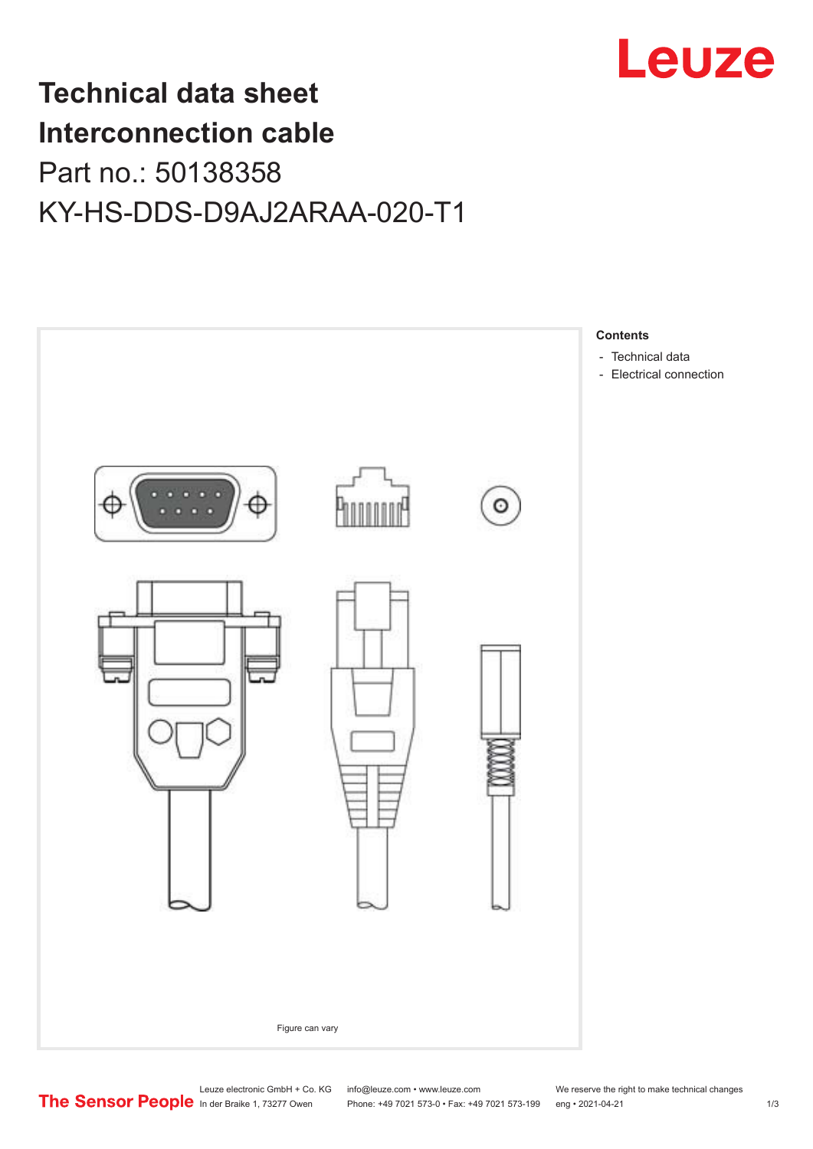

## **Technical data sheet Interconnection cable** Part no.: 50138358 KY-HS-DDS-D9AJ2ARAA-020-T1



Leuze electronic GmbH + Co. KG info@leuze.com • www.leuze.com We reserve the right to make technical changes<br>
The Sensor People in der Braike 1, 73277 Owen Phone: +49 7021 573-0 • Fax: +49 7021 573-199 eng • 2021-04-21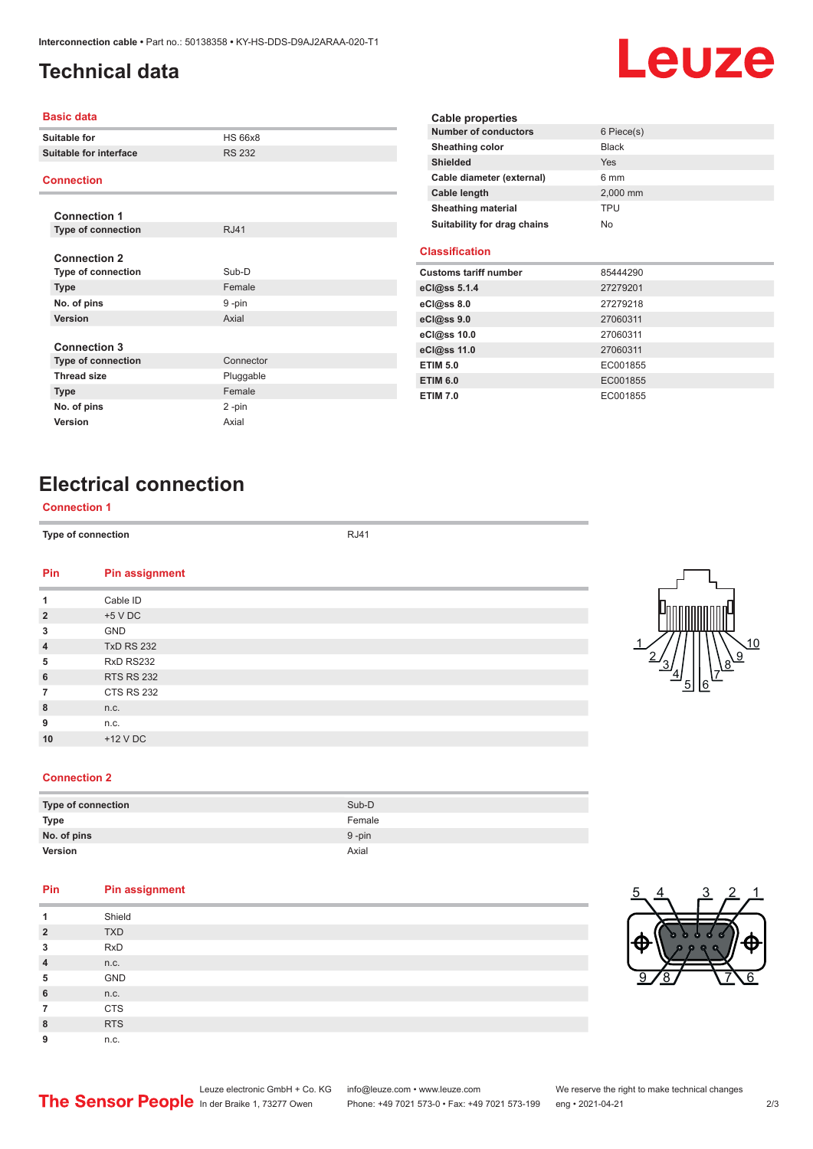## <span id="page-1-0"></span>**Technical data**

# Leuze

#### **Basic data**

| <b>Suitable for</b>                                                                | <b>HS 66x8</b>                    |
|------------------------------------------------------------------------------------|-----------------------------------|
| <b>Suitable for interface</b>                                                      | <b>RS 232</b>                     |
| <b>Connection</b>                                                                  |                                   |
| <b>Connection 1</b>                                                                |                                   |
| <b>Type of connection</b>                                                          | <b>RJ41</b>                       |
| <b>Connection 2</b><br>Type of connection<br><b>Type</b><br>No. of pins<br>Version | Sub-D<br>Female<br>9-pin<br>Axial |
| <b>Connection 3</b>                                                                |                                   |
| <b>Type of connection</b>                                                          | Connector                         |
| <b>Thread size</b>                                                                 | Pluggable                         |
| <b>Type</b>                                                                        | Female                            |
| No. of pins                                                                        | 2-pin                             |
| Version                                                                            | Axial                             |
|                                                                                    |                                   |

| Cable properties            |              |
|-----------------------------|--------------|
| <b>Number of conductors</b> | 6 Piece(s)   |
| Sheathing color             | <b>Black</b> |
| <b>Shielded</b>             | <b>Yes</b>   |
| Cable diameter (external)   | 6 mm         |
| <b>Cable length</b>         | 2.000 mm     |
| <b>Sheathing material</b>   | TPU          |
| Suitability for drag chains | No           |

#### **Classification**

| <b>Customs tariff number</b> | 85444290 |
|------------------------------|----------|
| eCl@ss 5.1.4                 | 27279201 |
| $eC/\omega$ ss 8.0           | 27279218 |
| eC <sub>1</sub> @ss 9.0      | 27060311 |
| eCl@ss 10.0                  | 27060311 |
| eCl@ss 11.0                  | 27060311 |
| <b>ETIM 5.0</b>              | EC001855 |
| <b>ETIM 6.0</b>              | EC001855 |
| <b>ETIM 7.0</b>              | EC001855 |

### **Electrical connection**

#### **Connection 1**

**Type of connection RJ41** 

| Pin            | <b>Pin assignment</b> |
|----------------|-----------------------|
| 1              | Cable ID              |
| $\overline{2}$ | $+5$ V DC             |
| 3              | <b>GND</b>            |
| $\overline{4}$ | <b>TxD RS 232</b>     |
| 5              | RxD RS232             |
| 6              | <b>RTS RS 232</b>     |
| $\overline{7}$ | <b>CTS RS 232</b>     |
| 8              | n.c.                  |
| 9              | n.c.                  |
| 10             | $+12$ V DC            |
|                |                       |



#### **Connection 2**

| Type of connection | Sub-D     |
|--------------------|-----------|
| <b>Type</b>        | Female    |
| No. of pins        | $9 - pin$ |
| <b>Version</b>     | Axial     |

#### **Pin Pin assignment**

| 1              | Shield     |
|----------------|------------|
| $\overline{2}$ | <b>TXD</b> |
| 3              | <b>RxD</b> |
| $\overline{4}$ | n.c.       |
| 5              | GND        |
| 6              | n.c.       |
| 7              | <b>CTS</b> |
| 8              | <b>RTS</b> |
| 9              | n.c.       |